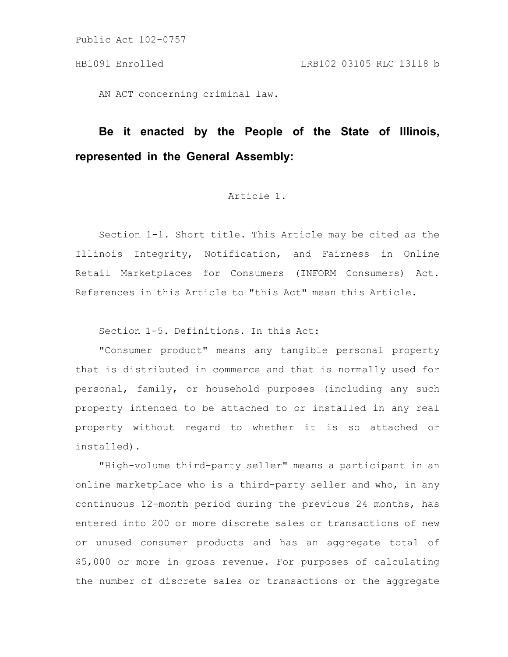AN ACT concerning criminal law.

# **Be it enacted by the People of the State of Illinois, represented in the General Assembly:**

# Article 1.

Section 1-1. Short title. This Article may be cited as the Illinois Integrity, Notification, and Fairness in Online Retail Marketplaces for Consumers (INFORM Consumers) Act. References in this Article to "this Act" mean this Article.

Section 1-5. Definitions. In this Act:

"Consumer product" means any tangible personal property that is distributed in commerce and that is normally used for personal, family, or household purposes (including any such property intended to be attached to or installed in any real property without regard to whether it is so attached or installed).

"High-volume third-party seller" means a participant in an online marketplace who is a third-party seller and who, in any continuous 12-month period during the previous 24 months, has entered into 200 or more discrete sales or transactions of new or unused consumer products and has an aggregate total of \$5,000 or more in gross revenue. For purposes of calculating the number of discrete sales or transactions or the aggregate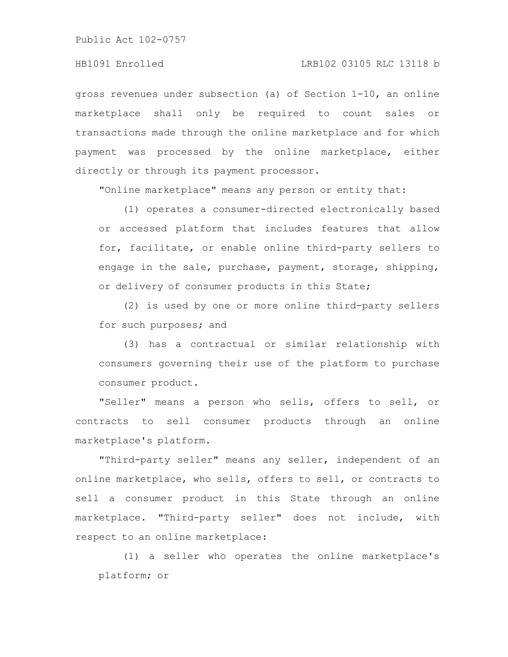# HB1091 Enrolled LRB102 03105 RLC 13118 b

gross revenues under subsection (a) of Section 1-10, an online marketplace shall only be required to count sales or transactions made through the online marketplace and for which payment was processed by the online marketplace, either directly or through its payment processor.

"Online marketplace" means any person or entity that:

(1) operates a consumer-directed electronically based or accessed platform that includes features that allow for, facilitate, or enable online third-party sellers to engage in the sale, purchase, payment, storage, shipping, or delivery of consumer products in this State;

(2) is used by one or more online third-party sellers for such purposes; and

(3) has a contractual or similar relationship with consumers governing their use of the platform to purchase consumer product.

"Seller" means a person who sells, offers to sell, or contracts to sell consumer products through an online marketplace's platform.

"Third-party seller" means any seller, independent of an online marketplace, who sells, offers to sell, or contracts to sell a consumer product in this State through an online marketplace. "Third-party seller" does not include, with respect to an online marketplace:

(1) a seller who operates the online marketplace's platform; or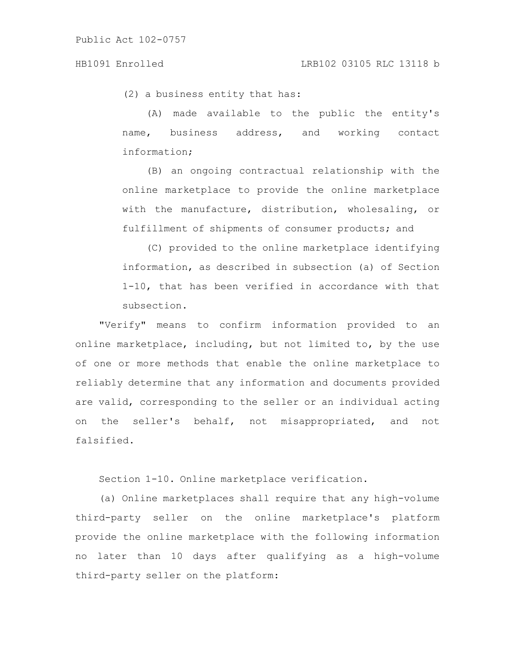(2) a business entity that has:

(A) made available to the public the entity's name, business address, and working contact information;

(B) an ongoing contractual relationship with the online marketplace to provide the online marketplace with the manufacture, distribution, wholesaling, or fulfillment of shipments of consumer products; and

(C) provided to the online marketplace identifying information, as described in subsection (a) of Section 1-10, that has been verified in accordance with that subsection.

"Verify" means to confirm information provided to an online marketplace, including, but not limited to, by the use of one or more methods that enable the online marketplace to reliably determine that any information and documents provided are valid, corresponding to the seller or an individual acting on the seller's behalf, not misappropriated, and not falsified.

Section 1-10. Online marketplace verification.

(a) Online marketplaces shall require that any high-volume third-party seller on the online marketplace's platform provide the online marketplace with the following information no later than 10 days after qualifying as a high-volume third-party seller on the platform: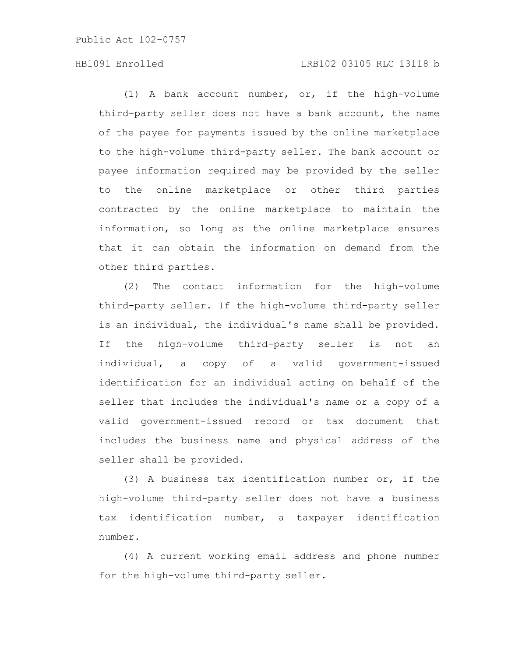# HB1091 Enrolled LRB102 03105 RLC 13118 b

(1) A bank account number, or, if the high-volume third-party seller does not have a bank account, the name of the payee for payments issued by the online marketplace to the high-volume third-party seller. The bank account or payee information required may be provided by the seller to the online marketplace or other third parties contracted by the online marketplace to maintain the information, so long as the online marketplace ensures that it can obtain the information on demand from the other third parties.

(2) The contact information for the high-volume third-party seller. If the high-volume third-party seller is an individual, the individual's name shall be provided. If the high-volume third-party seller is not an individual, a copy of a valid government-issued identification for an individual acting on behalf of the seller that includes the individual's name or a copy of a valid government-issued record or tax document that includes the business name and physical address of the seller shall be provided.

(3) A business tax identification number or, if the high-volume third-party seller does not have a business tax identification number, a taxpayer identification number.

(4) A current working email address and phone number for the high-volume third-party seller.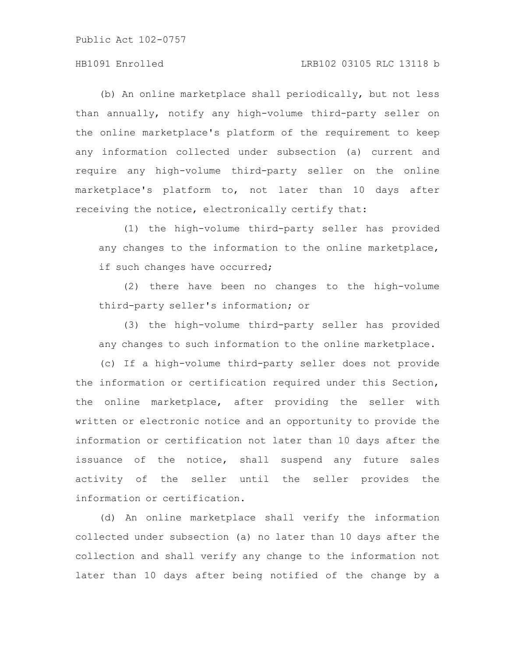# HB1091 Enrolled LRB102 03105 RLC 13118 b

(b) An online marketplace shall periodically, but not less than annually, notify any high-volume third-party seller on the online marketplace's platform of the requirement to keep any information collected under subsection (a) current and require any high-volume third-party seller on the online marketplace's platform to, not later than 10 days after receiving the notice, electronically certify that:

(1) the high-volume third-party seller has provided any changes to the information to the online marketplace, if such changes have occurred;

(2) there have been no changes to the high-volume third-party seller's information; or

(3) the high-volume third-party seller has provided any changes to such information to the online marketplace.

(c) If a high-volume third-party seller does not provide the information or certification required under this Section, the online marketplace, after providing the seller with written or electronic notice and an opportunity to provide the information or certification not later than 10 days after the issuance of the notice, shall suspend any future sales activity of the seller until the seller provides the information or certification.

(d) An online marketplace shall verify the information collected under subsection (a) no later than 10 days after the collection and shall verify any change to the information not later than 10 days after being notified of the change by a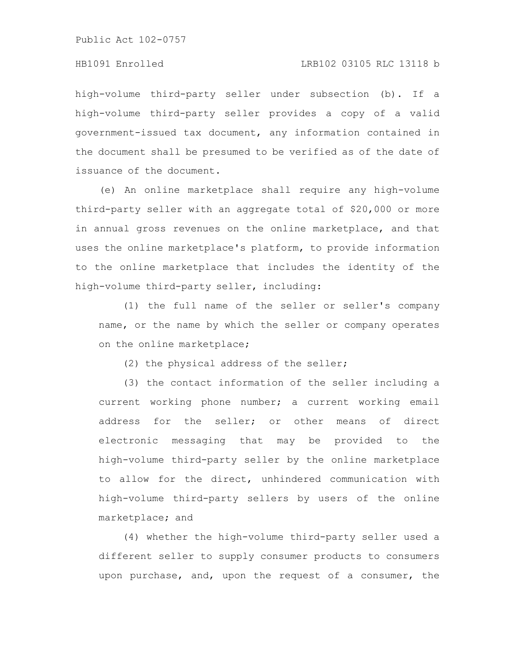#### HB1091 Enrolled LRB102 03105 RLC 13118 b

high-volume third-party seller under subsection (b). If a high-volume third-party seller provides a copy of a valid government-issued tax document, any information contained in the document shall be presumed to be verified as of the date of issuance of the document.

(e) An online marketplace shall require any high-volume third-party seller with an aggregate total of \$20,000 or more in annual gross revenues on the online marketplace, and that uses the online marketplace's platform, to provide information to the online marketplace that includes the identity of the high-volume third-party seller, including:

(1) the full name of the seller or seller's company name, or the name by which the seller or company operates on the online marketplace;

(2) the physical address of the seller;

(3) the contact information of the seller including a current working phone number; a current working email address for the seller; or other means of direct electronic messaging that may be provided to the high-volume third-party seller by the online marketplace to allow for the direct, unhindered communication with high-volume third-party sellers by users of the online marketplace; and

(4) whether the high-volume third-party seller used a different seller to supply consumer products to consumers upon purchase, and, upon the request of a consumer, the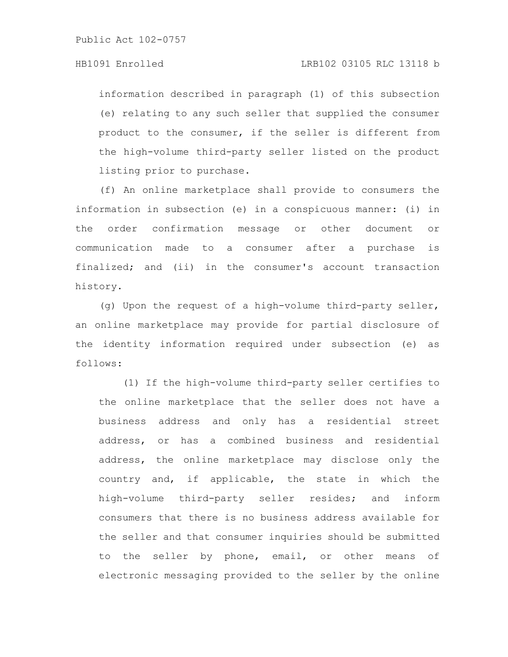information described in paragraph (1) of this subsection (e) relating to any such seller that supplied the consumer product to the consumer, if the seller is different from the high-volume third-party seller listed on the product listing prior to purchase.

(f) An online marketplace shall provide to consumers the information in subsection (e) in a conspicuous manner: (i) in the order confirmation message or other document or communication made to a consumer after a purchase is finalized; and (ii) in the consumer's account transaction history.

(g) Upon the request of a high-volume third-party seller, an online marketplace may provide for partial disclosure of the identity information required under subsection (e) as follows:

(1) If the high-volume third-party seller certifies to the online marketplace that the seller does not have a business address and only has a residential street address, or has a combined business and residential address, the online marketplace may disclose only the country and, if applicable, the state in which the high-volume third-party seller resides; and inform consumers that there is no business address available for the seller and that consumer inquiries should be submitted to the seller by phone, email, or other means of electronic messaging provided to the seller by the online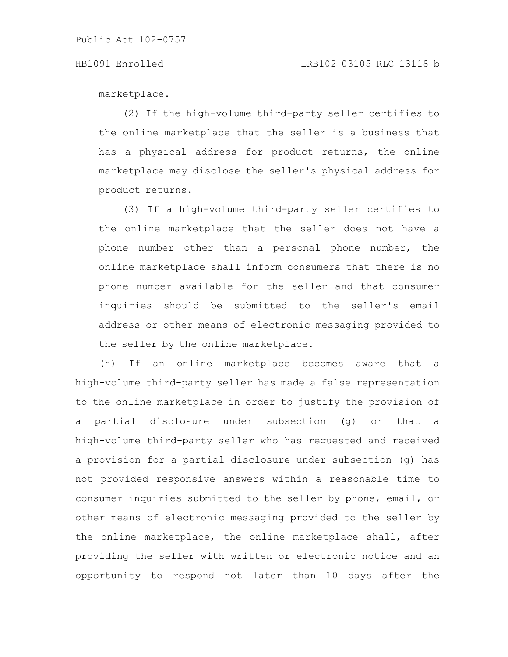marketplace.

(2) If the high-volume third-party seller certifies to the online marketplace that the seller is a business that has a physical address for product returns, the online marketplace may disclose the seller's physical address for product returns.

(3) If a high-volume third-party seller certifies to the online marketplace that the seller does not have a phone number other than a personal phone number, the online marketplace shall inform consumers that there is no phone number available for the seller and that consumer inquiries should be submitted to the seller's email address or other means of electronic messaging provided to the seller by the online marketplace.

(h) If an online marketplace becomes aware that a high-volume third-party seller has made a false representation to the online marketplace in order to justify the provision of a partial disclosure under subsection (g) or that a high-volume third-party seller who has requested and received a provision for a partial disclosure under subsection (g) has not provided responsive answers within a reasonable time to consumer inquiries submitted to the seller by phone, email, or other means of electronic messaging provided to the seller by the online marketplace, the online marketplace shall, after providing the seller with written or electronic notice and an opportunity to respond not later than 10 days after the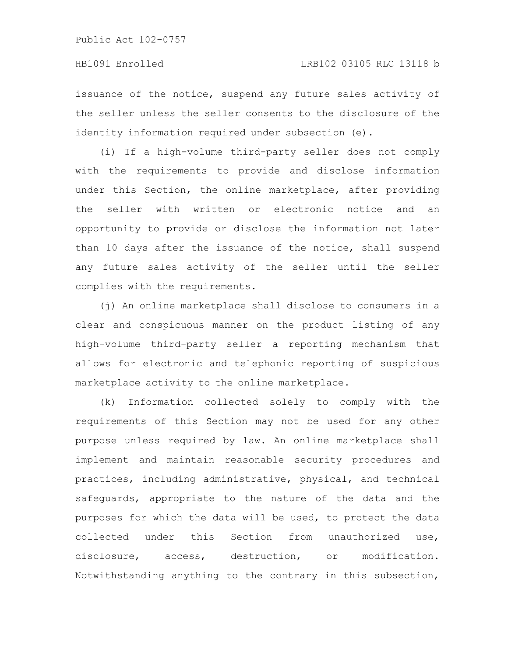issuance of the notice, suspend any future sales activity of the seller unless the seller consents to the disclosure of the identity information required under subsection (e).

(i) If a high-volume third-party seller does not comply with the requirements to provide and disclose information under this Section, the online marketplace, after providing the seller with written or electronic notice and an opportunity to provide or disclose the information not later than 10 days after the issuance of the notice, shall suspend any future sales activity of the seller until the seller complies with the requirements.

(j) An online marketplace shall disclose to consumers in a clear and conspicuous manner on the product listing of any high-volume third-party seller a reporting mechanism that allows for electronic and telephonic reporting of suspicious marketplace activity to the online marketplace.

(k) Information collected solely to comply with the requirements of this Section may not be used for any other purpose unless required by law. An online marketplace shall implement and maintain reasonable security procedures and practices, including administrative, physical, and technical safeguards, appropriate to the nature of the data and the purposes for which the data will be used, to protect the data collected under this Section from unauthorized use, disclosure, access, destruction, or modification. Notwithstanding anything to the contrary in this subsection,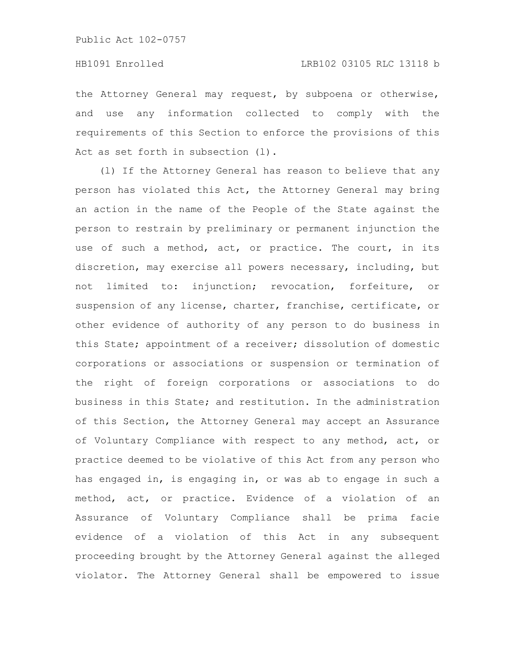the Attorney General may request, by subpoena or otherwise, and use any information collected to comply with the requirements of this Section to enforce the provisions of this Act as set forth in subsection (1).

(l) If the Attorney General has reason to believe that any person has violated this Act, the Attorney General may bring an action in the name of the People of the State against the person to restrain by preliminary or permanent injunction the use of such a method, act, or practice. The court, in its discretion, may exercise all powers necessary, including, but not limited to: injunction; revocation, forfeiture, or suspension of any license, charter, franchise, certificate, or other evidence of authority of any person to do business in this State; appointment of a receiver; dissolution of domestic corporations or associations or suspension or termination of the right of foreign corporations or associations to do business in this State; and restitution. In the administration of this Section, the Attorney General may accept an Assurance of Voluntary Compliance with respect to any method, act, or practice deemed to be violative of this Act from any person who has engaged in, is engaging in, or was ab to engage in such a method, act, or practice. Evidence of a violation of an Assurance of Voluntary Compliance shall be prima facie evidence of a violation of this Act in any subsequent proceeding brought by the Attorney General against the alleged violator. The Attorney General shall be empowered to issue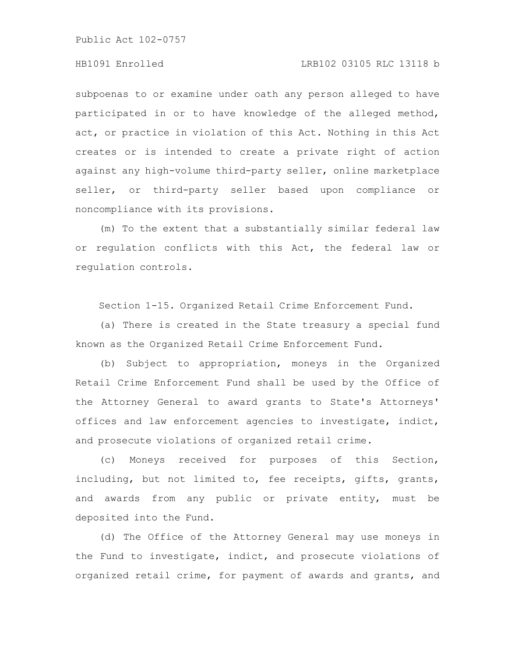# HB1091 Enrolled LRB102 03105 RLC 13118 b

subpoenas to or examine under oath any person alleged to have participated in or to have knowledge of the alleged method, act, or practice in violation of this Act. Nothing in this Act creates or is intended to create a private right of action against any high-volume third-party seller, online marketplace seller, or third-party seller based upon compliance or noncompliance with its provisions.

(m) To the extent that a substantially similar federal law or regulation conflicts with this Act, the federal law or regulation controls.

Section 1-15. Organized Retail Crime Enforcement Fund.

(a) There is created in the State treasury a special fund known as the Organized Retail Crime Enforcement Fund.

(b) Subject to appropriation, moneys in the Organized Retail Crime Enforcement Fund shall be used by the Office of the Attorney General to award grants to State's Attorneys' offices and law enforcement agencies to investigate, indict, and prosecute violations of organized retail crime.

(c) Moneys received for purposes of this Section, including, but not limited to, fee receipts, gifts, grants, and awards from any public or private entity, must be deposited into the Fund.

(d) The Office of the Attorney General may use moneys in the Fund to investigate, indict, and prosecute violations of organized retail crime, for payment of awards and grants, and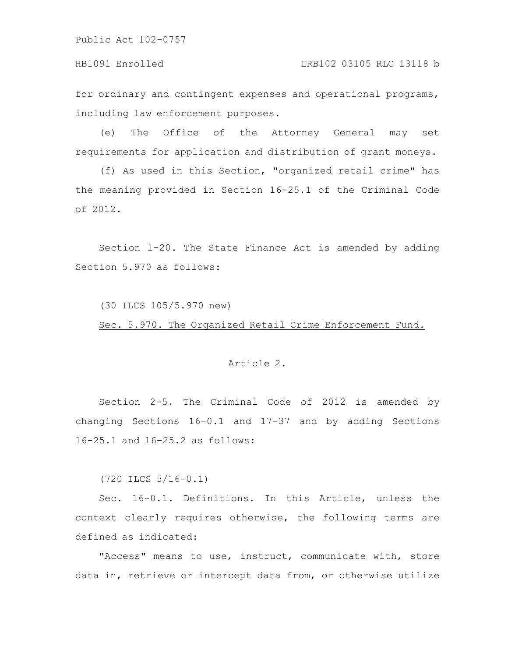HB1091 Enrolled LRB102 03105 RLC 13118 b

for ordinary and contingent expenses and operational programs, including law enforcement purposes.

(e) The Office of the Attorney General may set requirements for application and distribution of grant moneys.

(f) As used in this Section, "organized retail crime" has the meaning provided in Section 16-25.1 of the Criminal Code of 2012.

Section 1-20. The State Finance Act is amended by adding Section 5.970 as follows:

(30 ILCS 105/5.970 new)

Sec. 5.970. The Organized Retail Crime Enforcement Fund.

#### Article 2.

Section 2-5. The Criminal Code of 2012 is amended by changing Sections 16-0.1 and 17-37 and by adding Sections 16-25.1 and 16-25.2 as follows:

(720 ILCS 5/16-0.1)

Sec. 16-0.1. Definitions. In this Article, unless the context clearly requires otherwise, the following terms are defined as indicated:

"Access" means to use, instruct, communicate with, store data in, retrieve or intercept data from, or otherwise utilize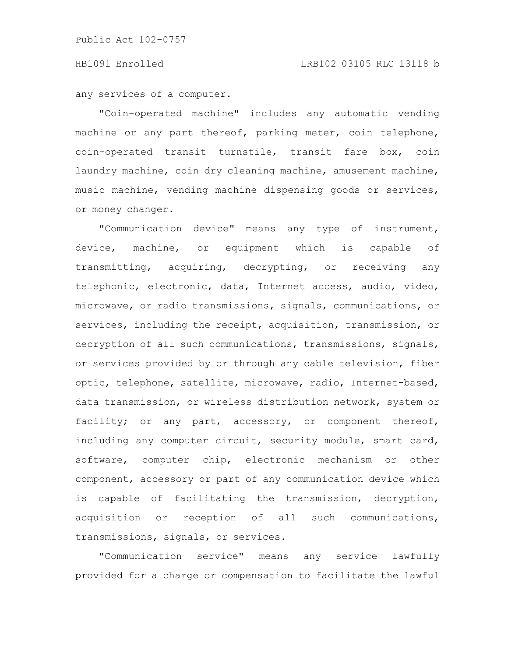any services of a computer.

"Coin-operated machine" includes any automatic vending machine or any part thereof, parking meter, coin telephone, coin-operated transit turnstile, transit fare box, coin laundry machine, coin dry cleaning machine, amusement machine, music machine, vending machine dispensing goods or services, or money changer.

"Communication device" means any type of instrument, device, machine, or equipment which is capable of transmitting, acquiring, decrypting, or receiving any telephonic, electronic, data, Internet access, audio, video, microwave, or radio transmissions, signals, communications, or services, including the receipt, acquisition, transmission, or decryption of all such communications, transmissions, signals, or services provided by or through any cable television, fiber optic, telephone, satellite, microwave, radio, Internet-based, data transmission, or wireless distribution network, system or facility; or any part, accessory, or component thereof, including any computer circuit, security module, smart card, software, computer chip, electronic mechanism or other component, accessory or part of any communication device which is capable of facilitating the transmission, decryption, acquisition or reception of all such communications, transmissions, signals, or services.

"Communication service" means any service lawfully provided for a charge or compensation to facilitate the lawful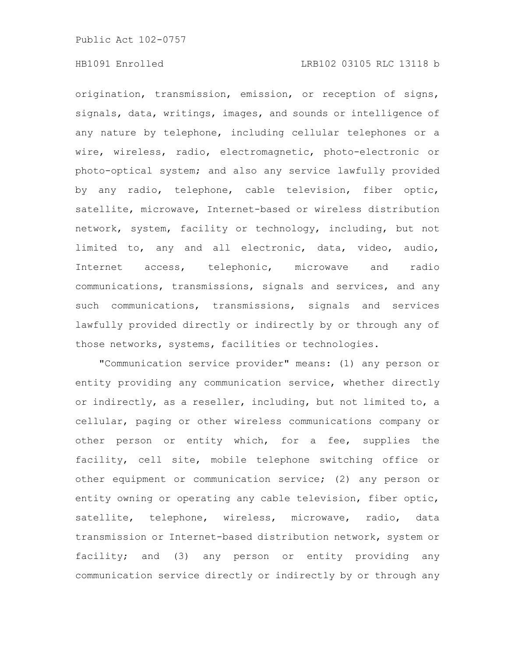origination, transmission, emission, or reception of signs, signals, data, writings, images, and sounds or intelligence of any nature by telephone, including cellular telephones or a wire, wireless, radio, electromagnetic, photo-electronic or photo-optical system; and also any service lawfully provided by any radio, telephone, cable television, fiber optic, satellite, microwave, Internet-based or wireless distribution network, system, facility or technology, including, but not limited to, any and all electronic, data, video, audio, Internet access, telephonic, microwave and radio communications, transmissions, signals and services, and any such communications, transmissions, signals and services lawfully provided directly or indirectly by or through any of those networks, systems, facilities or technologies.

"Communication service provider" means: (1) any person or entity providing any communication service, whether directly or indirectly, as a reseller, including, but not limited to, a cellular, paging or other wireless communications company or other person or entity which, for a fee, supplies the facility, cell site, mobile telephone switching office or other equipment or communication service; (2) any person or entity owning or operating any cable television, fiber optic, satellite, telephone, wireless, microwave, radio, data transmission or Internet-based distribution network, system or facility; and (3) any person or entity providing any communication service directly or indirectly by or through any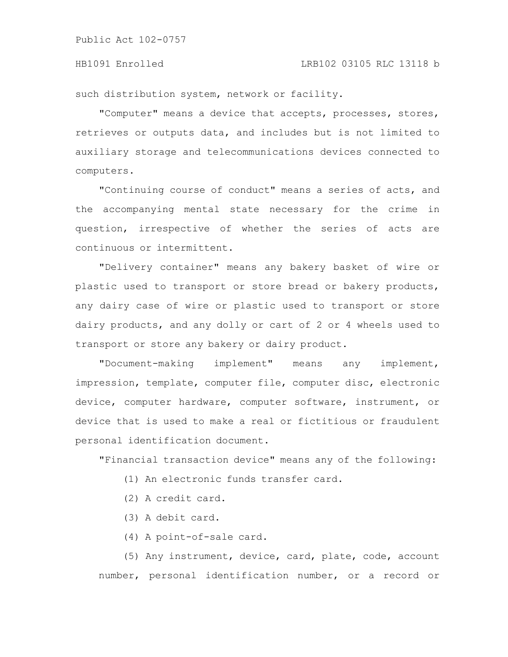such distribution system, network or facility.

"Computer" means a device that accepts, processes, stores, retrieves or outputs data, and includes but is not limited to auxiliary storage and telecommunications devices connected to computers.

"Continuing course of conduct" means a series of acts, and the accompanying mental state necessary for the crime in question, irrespective of whether the series of acts are continuous or intermittent.

"Delivery container" means any bakery basket of wire or plastic used to transport or store bread or bakery products, any dairy case of wire or plastic used to transport or store dairy products, and any dolly or cart of 2 or 4 wheels used to transport or store any bakery or dairy product.

"Document-making implement" means any implement, impression, template, computer file, computer disc, electronic device, computer hardware, computer software, instrument, or device that is used to make a real or fictitious or fraudulent personal identification document.

"Financial transaction device" means any of the following:

- (1) An electronic funds transfer card.
- (2) A credit card.
- (3) A debit card.
- (4) A point-of-sale card.

(5) Any instrument, device, card, plate, code, account number, personal identification number, or a record or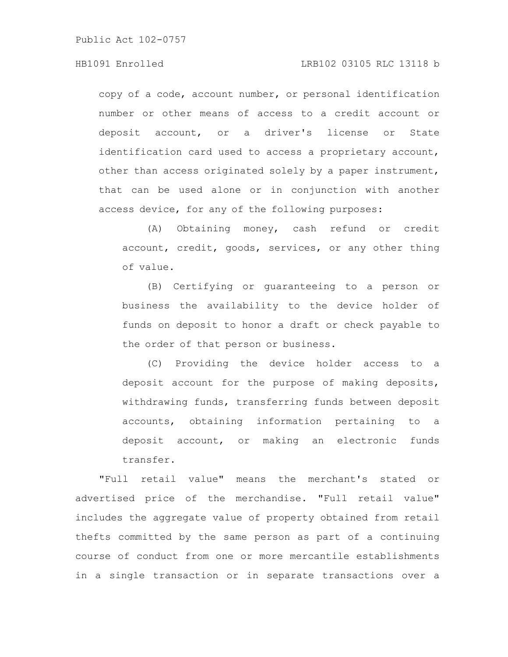# HB1091 Enrolled LRB102 03105 RLC 13118 b

copy of a code, account number, or personal identification number or other means of access to a credit account or deposit account, or a driver's license or State identification card used to access a proprietary account, other than access originated solely by a paper instrument, that can be used alone or in conjunction with another access device, for any of the following purposes:

(A) Obtaining money, cash refund or credit account, credit, goods, services, or any other thing of value.

(B) Certifying or guaranteeing to a person or business the availability to the device holder of funds on deposit to honor a draft or check payable to the order of that person or business.

(C) Providing the device holder access to a deposit account for the purpose of making deposits, withdrawing funds, transferring funds between deposit accounts, obtaining information pertaining to a deposit account, or making an electronic funds transfer.

"Full retail value" means the merchant's stated or advertised price of the merchandise. "Full retail value" includes the aggregate value of property obtained from retail thefts committed by the same person as part of a continuing course of conduct from one or more mercantile establishments in a single transaction or in separate transactions over a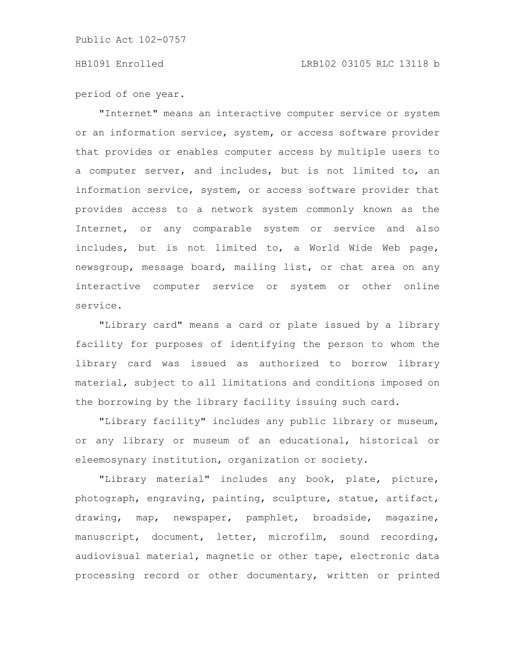period of one year.

"Internet" means an interactive computer service or system or an information service, system, or access software provider that provides or enables computer access by multiple users to a computer server, and includes, but is not limited to, an information service, system, or access software provider that provides access to a network system commonly known as the Internet, or any comparable system or service and also includes, but is not limited to, a World Wide Web page, newsgroup, message board, mailing list, or chat area on any interactive computer service or system or other online service.

"Library card" means a card or plate issued by a library facility for purposes of identifying the person to whom the library card was issued as authorized to borrow library material, subject to all limitations and conditions imposed on the borrowing by the library facility issuing such card.

"Library facility" includes any public library or museum, or any library or museum of an educational, historical or eleemosynary institution, organization or society.

"Library material" includes any book, plate, picture, photograph, engraving, painting, sculpture, statue, artifact, drawing, map, newspaper, pamphlet, broadside, magazine, manuscript, document, letter, microfilm, sound recording, audiovisual material, magnetic or other tape, electronic data processing record or other documentary, written or printed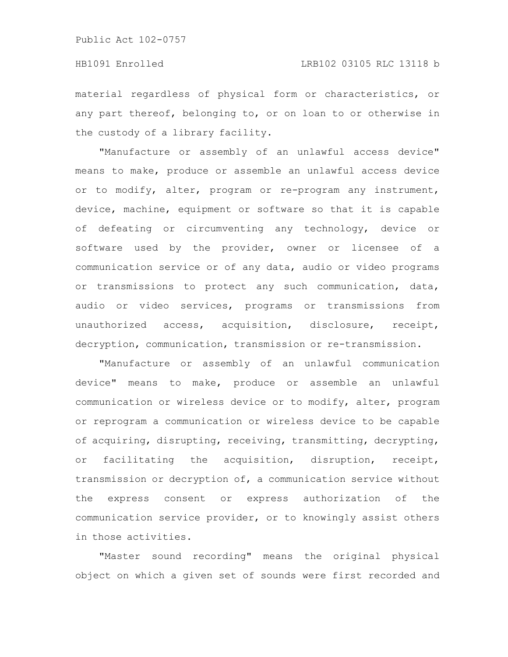material regardless of physical form or characteristics, or any part thereof, belonging to, or on loan to or otherwise in the custody of a library facility.

"Manufacture or assembly of an unlawful access device" means to make, produce or assemble an unlawful access device or to modify, alter, program or re-program any instrument, device, machine, equipment or software so that it is capable of defeating or circumventing any technology, device or software used by the provider, owner or licensee of a communication service or of any data, audio or video programs or transmissions to protect any such communication, data, audio or video services, programs or transmissions from unauthorized access, acquisition, disclosure, receipt, decryption, communication, transmission or re-transmission.

"Manufacture or assembly of an unlawful communication device" means to make, produce or assemble an unlawful communication or wireless device or to modify, alter, program or reprogram a communication or wireless device to be capable of acquiring, disrupting, receiving, transmitting, decrypting, or facilitating the acquisition, disruption, receipt, transmission or decryption of, a communication service without the express consent or express authorization of the communication service provider, or to knowingly assist others in those activities.

"Master sound recording" means the original physical object on which a given set of sounds were first recorded and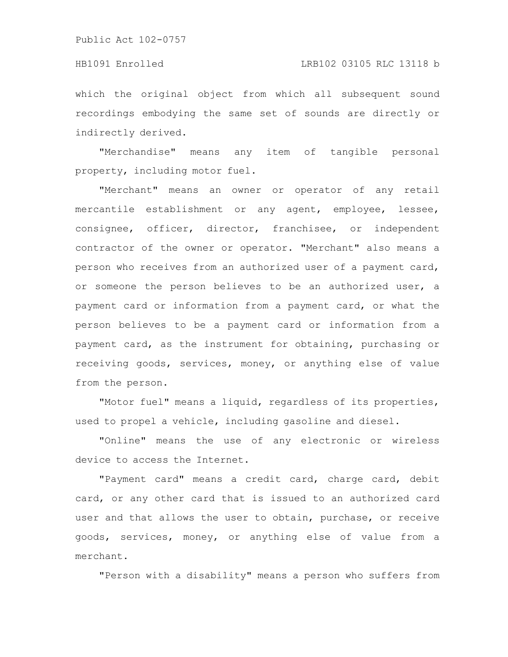#### HB1091 Enrolled LRB102 03105 RLC 13118 b

which the original object from which all subsequent sound recordings embodying the same set of sounds are directly or indirectly derived.

"Merchandise" means any item of tangible personal property, including motor fuel.

"Merchant" means an owner or operator of any retail mercantile establishment or any agent, employee, lessee, consignee, officer, director, franchisee, or independent contractor of the owner or operator. "Merchant" also means a person who receives from an authorized user of a payment card, or someone the person believes to be an authorized user, a payment card or information from a payment card, or what the person believes to be a payment card or information from a payment card, as the instrument for obtaining, purchasing or receiving goods, services, money, or anything else of value from the person.

"Motor fuel" means a liquid, regardless of its properties, used to propel a vehicle, including gasoline and diesel.

"Online" means the use of any electronic or wireless device to access the Internet.

"Payment card" means a credit card, charge card, debit card, or any other card that is issued to an authorized card user and that allows the user to obtain, purchase, or receive goods, services, money, or anything else of value from a merchant.

"Person with a disability" means a person who suffers from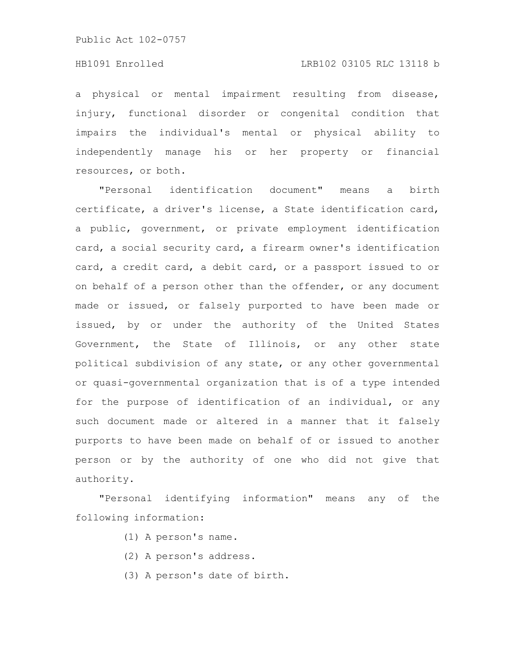# HB1091 Enrolled LRB102 03105 RLC 13118 b

a physical or mental impairment resulting from disease, injury, functional disorder or congenital condition that impairs the individual's mental or physical ability to independently manage his or her property or financial resources, or both.

"Personal identification document" means a birth certificate, a driver's license, a State identification card, a public, government, or private employment identification card, a social security card, a firearm owner's identification card, a credit card, a debit card, or a passport issued to or on behalf of a person other than the offender, or any document made or issued, or falsely purported to have been made or issued, by or under the authority of the United States Government, the State of Illinois, or any other state political subdivision of any state, or any other governmental or quasi-governmental organization that is of a type intended for the purpose of identification of an individual, or any such document made or altered in a manner that it falsely purports to have been made on behalf of or issued to another person or by the authority of one who did not give that authority.

"Personal identifying information" means any of the following information:

- (1) A person's name.
- (2) A person's address.
- (3) A person's date of birth.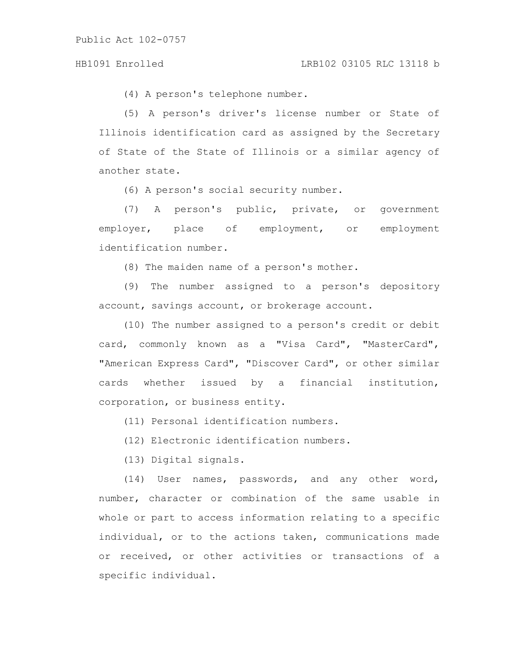(4) A person's telephone number.

(5) A person's driver's license number or State of Illinois identification card as assigned by the Secretary of State of the State of Illinois or a similar agency of another state.

(6) A person's social security number.

(7) A person's public, private, or government employer, place of employment, or employment identification number.

(8) The maiden name of a person's mother.

(9) The number assigned to a person's depository account, savings account, or brokerage account.

(10) The number assigned to a person's credit or debit card, commonly known as a "Visa Card", "MasterCard", "American Express Card", "Discover Card", or other similar cards whether issued by a financial institution, corporation, or business entity.

(11) Personal identification numbers.

(12) Electronic identification numbers.

(13) Digital signals.

(14) User names, passwords, and any other word, number, character or combination of the same usable in whole or part to access information relating to a specific individual, or to the actions taken, communications made or received, or other activities or transactions of a specific individual.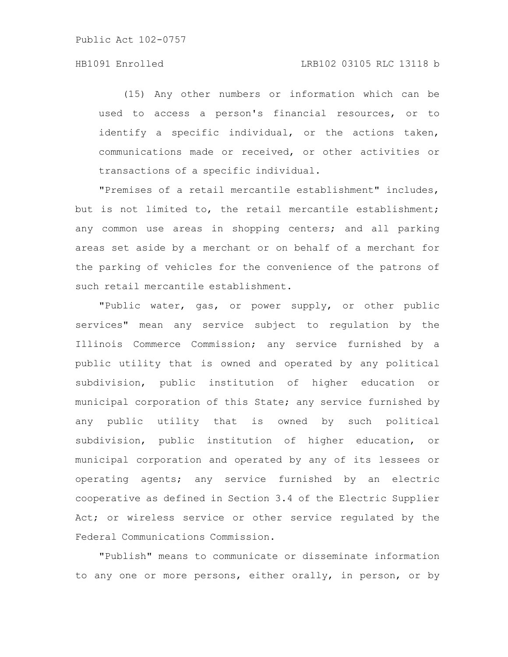# HB1091 Enrolled LRB102 03105 RLC 13118 b

(15) Any other numbers or information which can be used to access a person's financial resources, or to identify a specific individual, or the actions taken, communications made or received, or other activities or transactions of a specific individual.

"Premises of a retail mercantile establishment" includes, but is not limited to, the retail mercantile establishment; any common use areas in shopping centers; and all parking areas set aside by a merchant or on behalf of a merchant for the parking of vehicles for the convenience of the patrons of such retail mercantile establishment.

"Public water, gas, or power supply, or other public services" mean any service subject to regulation by the Illinois Commerce Commission; any service furnished by a public utility that is owned and operated by any political subdivision, public institution of higher education or municipal corporation of this State; any service furnished by any public utility that is owned by such political subdivision, public institution of higher education, or municipal corporation and operated by any of its lessees or operating agents; any service furnished by an electric cooperative as defined in Section 3.4 of the Electric Supplier Act; or wireless service or other service regulated by the Federal Communications Commission.

"Publish" means to communicate or disseminate information to any one or more persons, either orally, in person, or by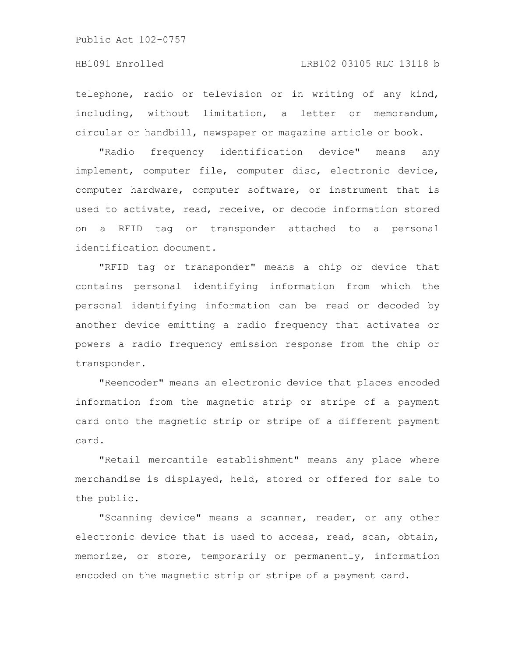# HB1091 Enrolled LRB102 03105 RLC 13118 b

telephone, radio or television or in writing of any kind, including, without limitation, a letter or memorandum, circular or handbill, newspaper or magazine article or book.

"Radio frequency identification device" means any implement, computer file, computer disc, electronic device, computer hardware, computer software, or instrument that is used to activate, read, receive, or decode information stored on a RFID tag or transponder attached to a personal identification document.

"RFID tag or transponder" means a chip or device that contains personal identifying information from which the personal identifying information can be read or decoded by another device emitting a radio frequency that activates or powers a radio frequency emission response from the chip or transponder.

"Reencoder" means an electronic device that places encoded information from the magnetic strip or stripe of a payment card onto the magnetic strip or stripe of a different payment card.

"Retail mercantile establishment" means any place where merchandise is displayed, held, stored or offered for sale to the public.

"Scanning device" means a scanner, reader, or any other electronic device that is used to access, read, scan, obtain, memorize, or store, temporarily or permanently, information encoded on the magnetic strip or stripe of a payment card.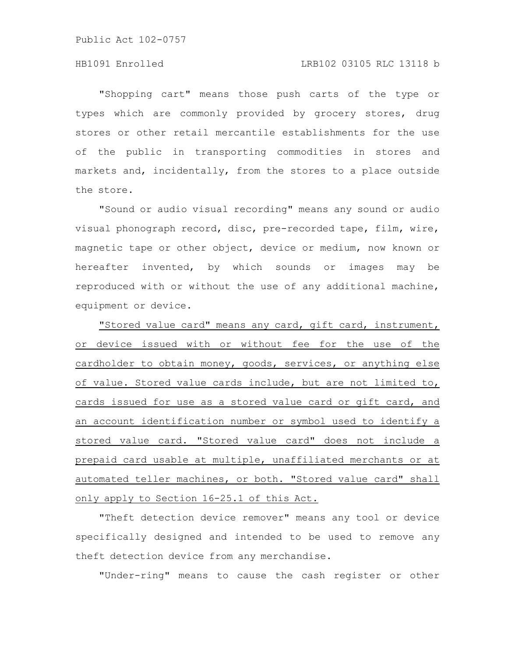# HB1091 Enrolled LRB102 03105 RLC 13118 b

"Shopping cart" means those push carts of the type or types which are commonly provided by grocery stores, drug stores or other retail mercantile establishments for the use of the public in transporting commodities in stores and markets and, incidentally, from the stores to a place outside the store.

"Sound or audio visual recording" means any sound or audio visual phonograph record, disc, pre-recorded tape, film, wire, magnetic tape or other object, device or medium, now known or hereafter invented, by which sounds or images may be reproduced with or without the use of any additional machine, equipment or device.

"Stored value card" means any card, gift card, instrument, or device issued with or without fee for the use of the cardholder to obtain money, goods, services, or anything else of value. Stored value cards include, but are not limited to, cards issued for use as a stored value card or gift card, and an account identification number or symbol used to identify a stored value card. "Stored value card" does not include a prepaid card usable at multiple, unaffiliated merchants or at automated teller machines, or both. "Stored value card" shall only apply to Section 16-25.1 of this Act.

"Theft detection device remover" means any tool or device specifically designed and intended to be used to remove any theft detection device from any merchandise.

"Under-ring" means to cause the cash register or other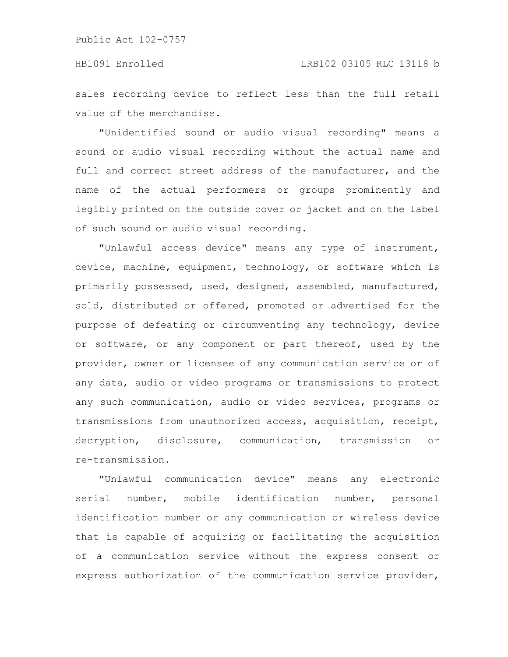sales recording device to reflect less than the full retail value of the merchandise.

"Unidentified sound or audio visual recording" means a sound or audio visual recording without the actual name and full and correct street address of the manufacturer, and the name of the actual performers or groups prominently and legibly printed on the outside cover or jacket and on the label of such sound or audio visual recording.

"Unlawful access device" means any type of instrument, device, machine, equipment, technology, or software which is primarily possessed, used, designed, assembled, manufactured, sold, distributed or offered, promoted or advertised for the purpose of defeating or circumventing any technology, device or software, or any component or part thereof, used by the provider, owner or licensee of any communication service or of any data, audio or video programs or transmissions to protect any such communication, audio or video services, programs or transmissions from unauthorized access, acquisition, receipt, decryption, disclosure, communication, transmission or re-transmission.

"Unlawful communication device" means any electronic serial number, mobile identification number, personal identification number or any communication or wireless device that is capable of acquiring or facilitating the acquisition of a communication service without the express consent or express authorization of the communication service provider,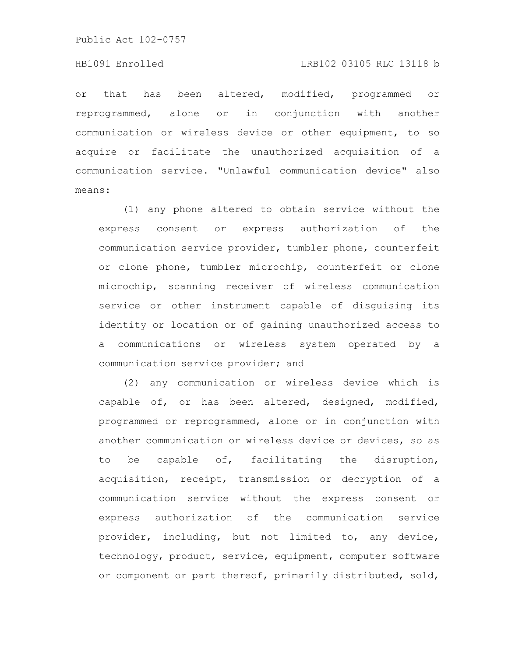#### HB1091 Enrolled LRB102 03105 RLC 13118 b

or that has been altered, modified, programmed or reprogrammed, alone or in conjunction with another communication or wireless device or other equipment, to so acquire or facilitate the unauthorized acquisition of a communication service. "Unlawful communication device" also means:

(1) any phone altered to obtain service without the express consent or express authorization of the communication service provider, tumbler phone, counterfeit or clone phone, tumbler microchip, counterfeit or clone microchip, scanning receiver of wireless communication service or other instrument capable of disguising its identity or location or of gaining unauthorized access to a communications or wireless system operated by a communication service provider; and

(2) any communication or wireless device which is capable of, or has been altered, designed, modified, programmed or reprogrammed, alone or in conjunction with another communication or wireless device or devices, so as to be capable of, facilitating the disruption, acquisition, receipt, transmission or decryption of a communication service without the express consent or express authorization of the communication service provider, including, but not limited to, any device, technology, product, service, equipment, computer software or component or part thereof, primarily distributed, sold,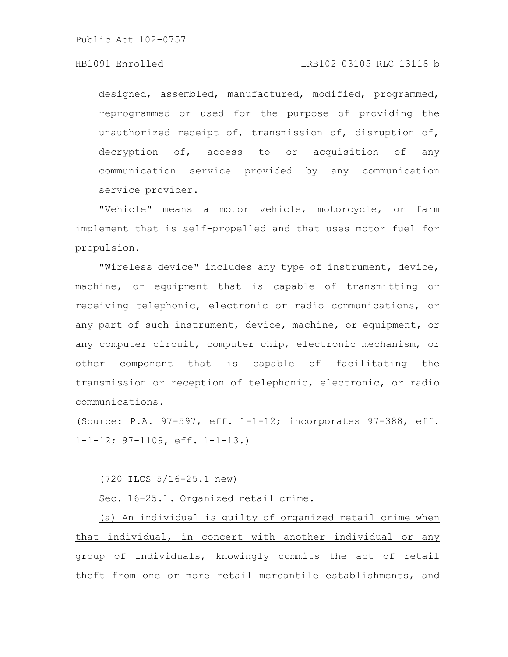designed, assembled, manufactured, modified, programmed, reprogrammed or used for the purpose of providing the unauthorized receipt of, transmission of, disruption of, decryption of, access to or acquisition of any communication service provided by any communication service provider.

"Vehicle" means a motor vehicle, motorcycle, or farm implement that is self-propelled and that uses motor fuel for propulsion.

"Wireless device" includes any type of instrument, device, machine, or equipment that is capable of transmitting or receiving telephonic, electronic or radio communications, or any part of such instrument, device, machine, or equipment, or any computer circuit, computer chip, electronic mechanism, or other component that is capable of facilitating the transmission or reception of telephonic, electronic, or radio communications.

(Source: P.A. 97-597, eff. 1-1-12; incorporates 97-388, eff. 1-1-12; 97-1109, eff. 1-1-13.)

(720 ILCS 5/16-25.1 new)

Sec. 16-25.1. Organized retail crime.

(a) An individual is guilty of organized retail crime when that individual, in concert with another individual or any group of individuals, knowingly commits the act of retail theft from one or more retail mercantile establishments, and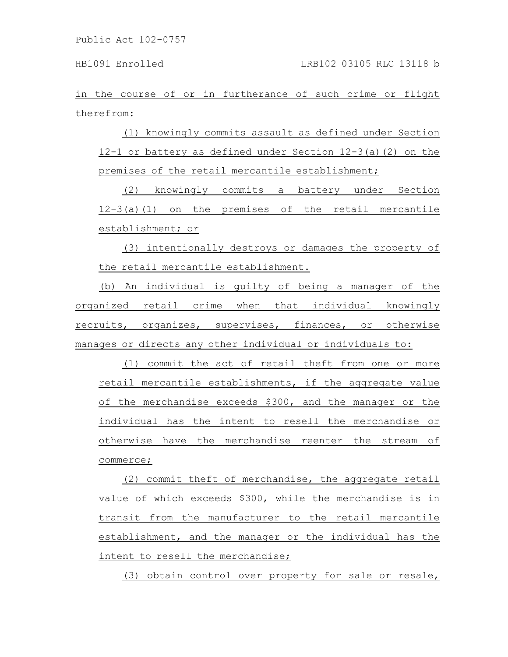in the course of or in furtherance of such crime or flight therefrom:

(1) knowingly commits assault as defined under Section 12-1 or battery as defined under Section 12-3(a)(2) on the premises of the retail mercantile establishment;

(2) knowingly commits a battery under Section 12-3(a)(1) on the premises of the retail mercantile establishment; or

(3) intentionally destroys or damages the property of the retail mercantile establishment.

(b) An individual is guilty of being a manager of the organized retail crime when that individual knowingly recruits, organizes, supervises, finances, or otherwise manages or directs any other individual or individuals to:

(1) commit the act of retail theft from one or more retail mercantile establishments, if the aggregate value of the merchandise exceeds \$300, and the manager or the individual has the intent to resell the merchandise or otherwise have the merchandise reenter the stream of commerce;

(2) commit theft of merchandise, the aggregate retail value of which exceeds \$300, while the merchandise is in transit from the manufacturer to the retail mercantile establishment, and the manager or the individual has the intent to resell the merchandise;

(3) obtain control over property for sale or resale,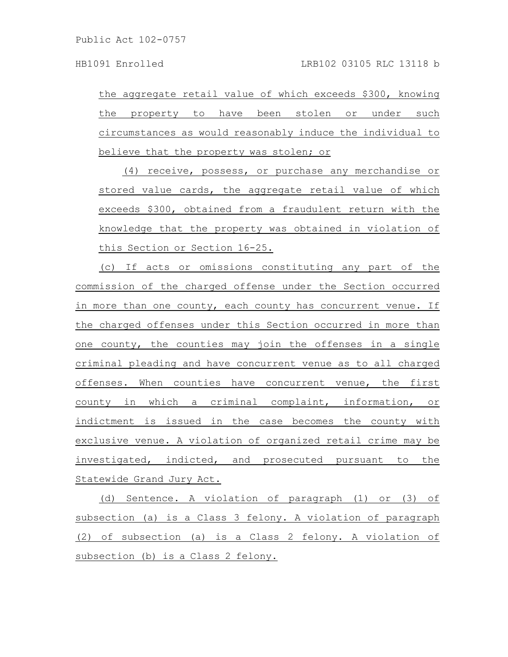the aggregate retail value of which exceeds \$300, knowing the property to have been stolen or under such circumstances as would reasonably induce the individual to believe that the property was stolen; or

(4) receive, possess, or purchase any merchandise or stored value cards, the aggregate retail value of which exceeds \$300, obtained from a fraudulent return with the knowledge that the property was obtained in violation of this Section or Section 16-25.

(c) If acts or omissions constituting any part of the commission of the charged offense under the Section occurred in more than one county, each county has concurrent venue. If the charged offenses under this Section occurred in more than one county, the counties may join the offenses in a single criminal pleading and have concurrent venue as to all charged offenses. When counties have concurrent venue, the first county in which a criminal complaint, information, or indictment is issued in the case becomes the county with exclusive venue. A violation of organized retail crime may be investigated, indicted, and prosecuted pursuant to the Statewide Grand Jury Act.

(d) Sentence. A violation of paragraph (1) or (3) of subsection (a) is a Class 3 felony. A violation of paragraph (2) of subsection (a) is a Class 2 felony. A violation of subsection (b) is a Class 2 felony.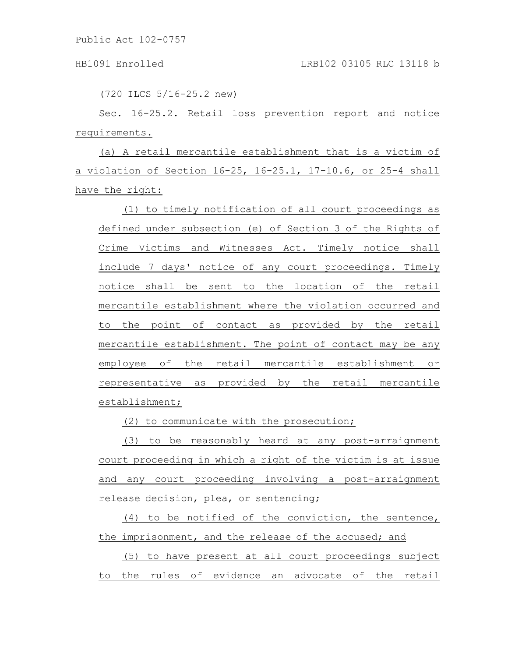(720 ILCS 5/16-25.2 new)

Sec. 16-25.2. Retail loss prevention report and notice requirements.

(a) A retail mercantile establishment that is a victim of a violation of Section 16-25, 16-25.1, 17-10.6, or 25-4 shall have the right:

(1) to timely notification of all court proceedings as defined under subsection (e) of Section 3 of the Rights of Crime Victims and Witnesses Act. Timely notice shall include 7 days' notice of any court proceedings. Timely notice shall be sent to the location of the retail mercantile establishment where the violation occurred and to the point of contact as provided by the retail mercantile establishment. The point of contact may be any employee of the retail mercantile establishment or representative as provided by the retail mercantile establishment;

(2) to communicate with the prosecution;

(3) to be reasonably heard at any post-arraignment court proceeding in which a right of the victim is at issue and any court proceeding involving a post-arraignment release decision, plea, or sentencing;

(4) to be notified of the conviction, the sentence, the imprisonment, and the release of the accused; and

(5) to have present at all court proceedings subject to the rules of evidence an advocate of the retail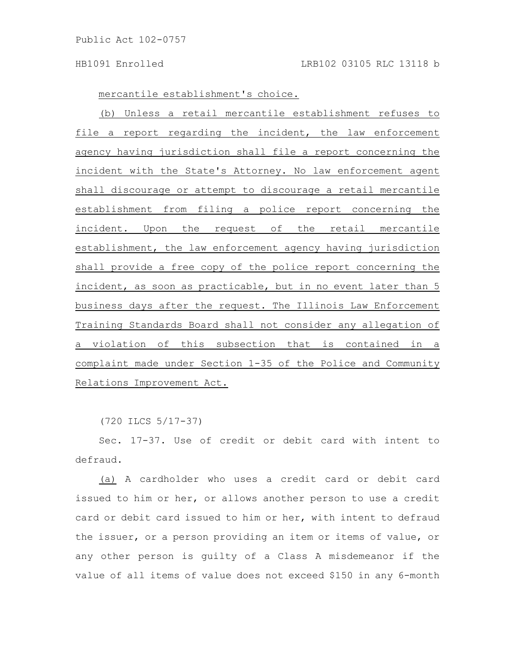mercantile establishment's choice.

(b) Unless a retail mercantile establishment refuses to file a report regarding the incident, the law enforcement agency having jurisdiction shall file a report concerning the incident with the State's Attorney. No law enforcement agent shall discourage or attempt to discourage a retail mercantile establishment from filing a police report concerning the incident. Upon the request of the retail mercantile establishment, the law enforcement agency having jurisdiction shall provide a free copy of the police report concerning the incident, as soon as practicable, but in no event later than 5 business days after the request. The Illinois Law Enforcement Training Standards Board shall not consider any allegation of a violation of this subsection that is contained in a complaint made under Section 1-35 of the Police and Community Relations Improvement Act.

(720 ILCS 5/17-37)

Sec. 17-37. Use of credit or debit card with intent to defraud.

(a) A cardholder who uses a credit card or debit card issued to him or her, or allows another person to use a credit card or debit card issued to him or her, with intent to defraud the issuer, or a person providing an item or items of value, or any other person is guilty of a Class A misdemeanor if the value of all items of value does not exceed \$150 in any 6-month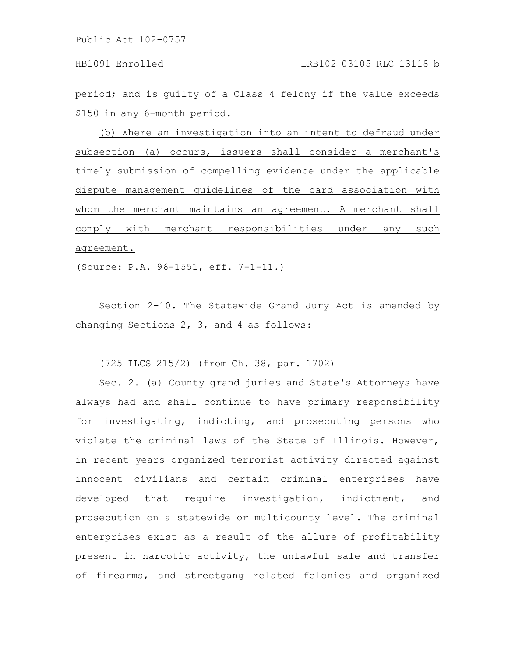period; and is guilty of a Class 4 felony if the value exceeds \$150 in any 6-month period.

(b) Where an investigation into an intent to defraud under subsection (a) occurs, issuers shall consider a merchant's timely submission of compelling evidence under the applicable dispute management guidelines of the card association with whom the merchant maintains an agreement. A merchant shall comply with merchant responsibilities under any such agreement.

(Source: P.A. 96-1551, eff. 7-1-11.)

Section 2-10. The Statewide Grand Jury Act is amended by changing Sections 2, 3, and 4 as follows:

(725 ILCS 215/2) (from Ch. 38, par. 1702)

Sec. 2. (a) County grand juries and State's Attorneys have always had and shall continue to have primary responsibility for investigating, indicting, and prosecuting persons who violate the criminal laws of the State of Illinois. However, in recent years organized terrorist activity directed against innocent civilians and certain criminal enterprises have developed that require investigation, indictment, and prosecution on a statewide or multicounty level. The criminal enterprises exist as a result of the allure of profitability present in narcotic activity, the unlawful sale and transfer of firearms, and streetgang related felonies and organized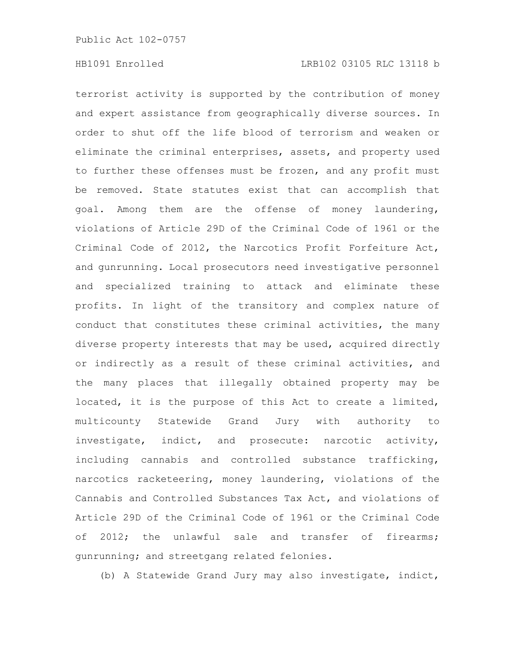terrorist activity is supported by the contribution of money and expert assistance from geographically diverse sources. In order to shut off the life blood of terrorism and weaken or eliminate the criminal enterprises, assets, and property used to further these offenses must be frozen, and any profit must be removed. State statutes exist that can accomplish that goal. Among them are the offense of money laundering, violations of Article 29D of the Criminal Code of 1961 or the Criminal Code of 2012, the Narcotics Profit Forfeiture Act, and gunrunning. Local prosecutors need investigative personnel and specialized training to attack and eliminate these profits. In light of the transitory and complex nature of conduct that constitutes these criminal activities, the many diverse property interests that may be used, acquired directly or indirectly as a result of these criminal activities, and the many places that illegally obtained property may be located, it is the purpose of this Act to create a limited, multicounty Statewide Grand Jury with authority to investigate, indict, and prosecute: narcotic activity, including cannabis and controlled substance trafficking, narcotics racketeering, money laundering, violations of the Cannabis and Controlled Substances Tax Act, and violations of Article 29D of the Criminal Code of 1961 or the Criminal Code of 2012; the unlawful sale and transfer of firearms; gunrunning; and streetgang related felonies.

(b) A Statewide Grand Jury may also investigate, indict,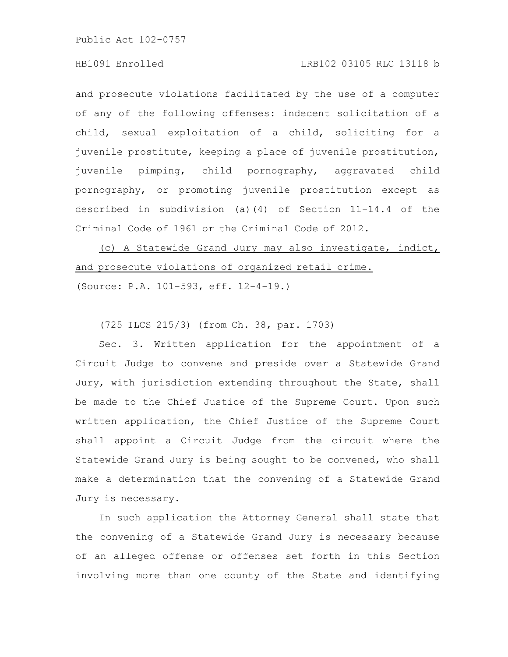#### HB1091 Enrolled LRB102 03105 RLC 13118 b

and prosecute violations facilitated by the use of a computer of any of the following offenses: indecent solicitation of a child, sexual exploitation of a child, soliciting for a juvenile prostitute, keeping a place of juvenile prostitution, juvenile pimping, child pornography, aggravated child pornography, or promoting juvenile prostitution except as described in subdivision (a)(4) of Section 11-14.4 of the Criminal Code of 1961 or the Criminal Code of 2012.

(c) A Statewide Grand Jury may also investigate, indict, and prosecute violations of organized retail crime. (Source: P.A. 101-593, eff. 12-4-19.)

(725 ILCS 215/3) (from Ch. 38, par. 1703)

Sec. 3. Written application for the appointment of a Circuit Judge to convene and preside over a Statewide Grand Jury, with jurisdiction extending throughout the State, shall be made to the Chief Justice of the Supreme Court. Upon such written application, the Chief Justice of the Supreme Court shall appoint a Circuit Judge from the circuit where the Statewide Grand Jury is being sought to be convened, who shall make a determination that the convening of a Statewide Grand Jury is necessary.

In such application the Attorney General shall state that the convening of a Statewide Grand Jury is necessary because of an alleged offense or offenses set forth in this Section involving more than one county of the State and identifying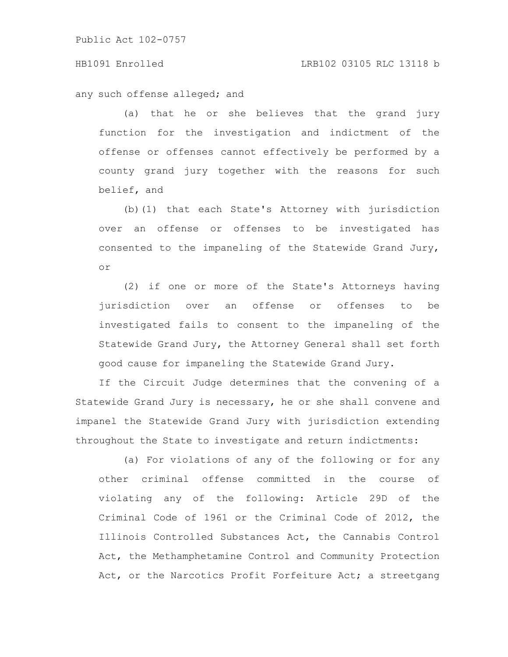#### HB1091 Enrolled LRB102 03105 RLC 13118 b

any such offense alleged; and

(a) that he or she believes that the grand jury function for the investigation and indictment of the offense or offenses cannot effectively be performed by a county grand jury together with the reasons for such belief, and

(b)(1) that each State's Attorney with jurisdiction over an offense or offenses to be investigated has consented to the impaneling of the Statewide Grand Jury, or

(2) if one or more of the State's Attorneys having jurisdiction over an offense or offenses to be investigated fails to consent to the impaneling of the Statewide Grand Jury, the Attorney General shall set forth good cause for impaneling the Statewide Grand Jury.

If the Circuit Judge determines that the convening of a Statewide Grand Jury is necessary, he or she shall convene and impanel the Statewide Grand Jury with jurisdiction extending throughout the State to investigate and return indictments:

(a) For violations of any of the following or for any other criminal offense committed in the course of violating any of the following: Article 29D of the Criminal Code of 1961 or the Criminal Code of 2012, the Illinois Controlled Substances Act, the Cannabis Control Act, the Methamphetamine Control and Community Protection Act, or the Narcotics Profit Forfeiture Act; a streetgang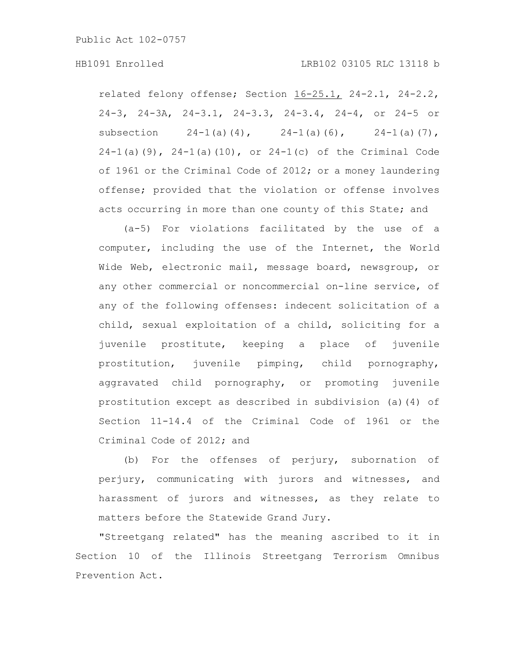related felony offense; Section 16-25.1, 24-2.1, 24-2.2, 24-3, 24-3A, 24-3.1, 24-3.3, 24-3.4, 24-4, or 24-5 or subsection  $24-1(a)(4)$ ,  $24-1(a)(6)$ ,  $24-1(a)(7)$ ,  $24-1$ (a)(9),  $24-1$ (a)(10), or  $24-1$ (c) of the Criminal Code of 1961 or the Criminal Code of 2012; or a money laundering offense; provided that the violation or offense involves acts occurring in more than one county of this State; and

(a-5) For violations facilitated by the use of a computer, including the use of the Internet, the World Wide Web, electronic mail, message board, newsgroup, or any other commercial or noncommercial on-line service, of any of the following offenses: indecent solicitation of a child, sexual exploitation of a child, soliciting for a juvenile prostitute, keeping a place of juvenile prostitution, juvenile pimping, child pornography, aggravated child pornography, or promoting juvenile prostitution except as described in subdivision (a)(4) of Section 11-14.4 of the Criminal Code of 1961 or the Criminal Code of 2012; and

(b) For the offenses of perjury, subornation of perjury, communicating with jurors and witnesses, and harassment of jurors and witnesses, as they relate to matters before the Statewide Grand Jury.

"Streetgang related" has the meaning ascribed to it in Section 10 of the Illinois Streetgang Terrorism Omnibus Prevention Act.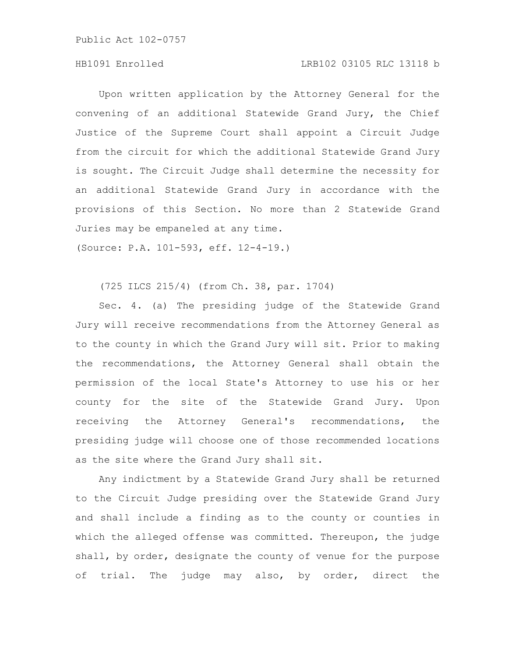# HB1091 Enrolled LRB102 03105 RLC 13118 b

Upon written application by the Attorney General for the convening of an additional Statewide Grand Jury, the Chief Justice of the Supreme Court shall appoint a Circuit Judge from the circuit for which the additional Statewide Grand Jury is sought. The Circuit Judge shall determine the necessity for an additional Statewide Grand Jury in accordance with the provisions of this Section. No more than 2 Statewide Grand Juries may be empaneled at any time.

(Source: P.A. 101-593, eff. 12-4-19.)

(725 ILCS 215/4) (from Ch. 38, par. 1704)

Sec. 4. (a) The presiding judge of the Statewide Grand Jury will receive recommendations from the Attorney General as to the county in which the Grand Jury will sit. Prior to making the recommendations, the Attorney General shall obtain the permission of the local State's Attorney to use his or her county for the site of the Statewide Grand Jury. Upon receiving the Attorney General's recommendations, the presiding judge will choose one of those recommended locations as the site where the Grand Jury shall sit.

Any indictment by a Statewide Grand Jury shall be returned to the Circuit Judge presiding over the Statewide Grand Jury and shall include a finding as to the county or counties in which the alleged offense was committed. Thereupon, the judge shall, by order, designate the county of venue for the purpose of trial. The judge may also, by order, direct the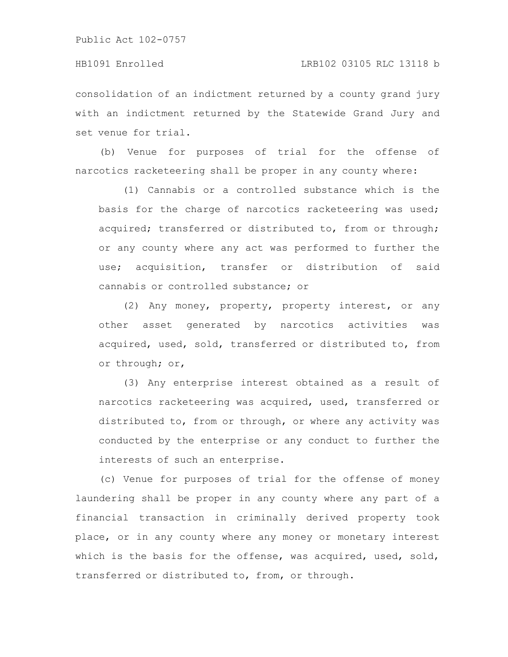# HB1091 Enrolled LRB102 03105 RLC 13118 b

consolidation of an indictment returned by a county grand jury with an indictment returned by the Statewide Grand Jury and set venue for trial.

(b) Venue for purposes of trial for the offense of narcotics racketeering shall be proper in any county where:

(1) Cannabis or a controlled substance which is the basis for the charge of narcotics racketeering was used; acquired; transferred or distributed to, from or through; or any county where any act was performed to further the use; acquisition, transfer or distribution of said cannabis or controlled substance; or

(2) Any money, property, property interest, or any other asset generated by narcotics activities was acquired, used, sold, transferred or distributed to, from or through; or,

(3) Any enterprise interest obtained as a result of narcotics racketeering was acquired, used, transferred or distributed to, from or through, or where any activity was conducted by the enterprise or any conduct to further the interests of such an enterprise.

(c) Venue for purposes of trial for the offense of money laundering shall be proper in any county where any part of a financial transaction in criminally derived property took place, or in any county where any money or monetary interest which is the basis for the offense, was acquired, used, sold, transferred or distributed to, from, or through.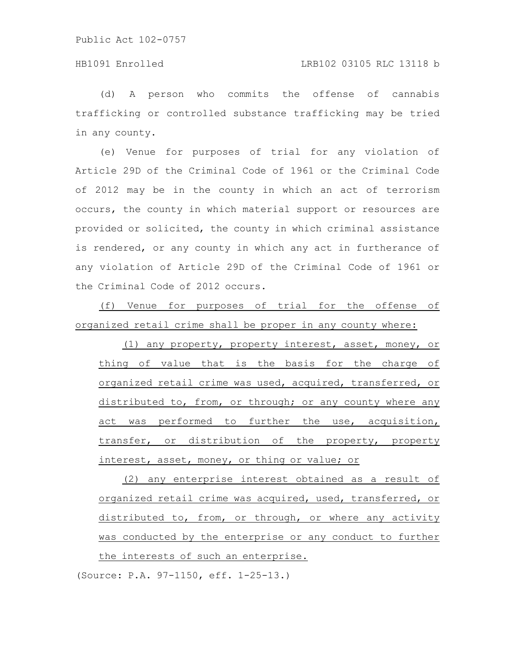(d) A person who commits the offense of cannabis trafficking or controlled substance trafficking may be tried in any county.

(e) Venue for purposes of trial for any violation of Article 29D of the Criminal Code of 1961 or the Criminal Code of 2012 may be in the county in which an act of terrorism occurs, the county in which material support or resources are provided or solicited, the county in which criminal assistance is rendered, or any county in which any act in furtherance of any violation of Article 29D of the Criminal Code of 1961 or the Criminal Code of 2012 occurs.

(f) Venue for purposes of trial for the offense of organized retail crime shall be proper in any county where:

(1) any property, property interest, asset, money, or thing of value that is the basis for the charge of organized retail crime was used, acquired, transferred, or distributed to, from, or through; or any county where any act was performed to further the use, acquisition, transfer, or distribution of the property, property interest, asset, money, or thing or value; or

(2) any enterprise interest obtained as a result of organized retail crime was acquired, used, transferred, or distributed to, from, or through, or where any activity was conducted by the enterprise or any conduct to further the interests of such an enterprise.

(Source: P.A. 97-1150, eff. 1-25-13.)